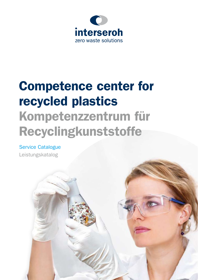

# Competence center for recycled plastics Kompetenzzentrum für Recyclingkunststoffe

### Service Catalogue

Leistungskatalog

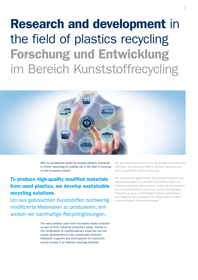### Research and development in the field of plastics recycling Forschung und Entwicklung im Bereich Kunststoffrecycling



With its competence center for recycled plastics, Interseroh is further expanding its leading role in the field of recycling on the European market.

### To produce high-quality modified materials from used plastics, we develop sustainable recycling solutions.

Um aus gebrauchten Kunststoffen hochwertig modifizierte Materialien zu produzieren, entwickeln wir nachhaltige Recyclinglösungen.

> The used plastics come from household waste collection as well as from industrial production waste. Thanks to the combination of multidisciplinary know-how and the unique development of new, sustainable products, Interseroh supports and accompanies its customers across Europe in an efficient recycling business.

Mit dem Kompetenzzentrum für Recyclingkunststoffe baut Interseroh ihre führende Rolle im Bereich Recycling auf dem europäischen Markt weiter aus.

Die verwendeten gebrauchten Kunststoffe stammen aus Abfallsammlungen von privaten Haushalten sowie aus Produktionsabfällen der Industrie. Durch die Kombination aus multidisziplinärem Know-how und der einzigartigen Entwicklung neuer, nachhaltiger Produkte unterstützen und begleiten wir europaweit den Weg unserer Kunden in eine effiziente Kreislaufwirtschaft.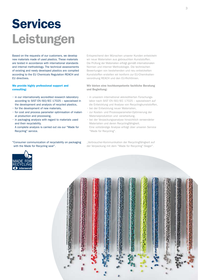# Services Leistungen

Based on the requests of our customers, we develop new materials made of used plastics. These materials are tested in accordance with international standards and internal methodology. The technical assessments of existing and newly developed plastics are compiled according to the EU Chemicals Regulation REACH and EU directives.

### We provide highly professional support and consulting:

- in our internationally accredited research laboratory according to SIST EN ISO/IEC 17025 – specialised in the development and analysis of recycled plastics,
- for the development of new materials,
- for cost and process parameter optimisation of material production and processing,
- in packaging analysis with regard to materials used and their recyclability.
- A complete analysis is carried out via our "Made for Recycling" service.

"Consumer communication of recyclability on packaging with the Made for Recycling seal".

Entsprechend den Wünschen unserer Kunden entwickeln wir neue Materialien aus gebrauchten Kunststoffen. Die Prüfung der Materialien erfolgt gemäß internationalen Normen und interner Methodologie. Die technischen Bewertungen von bestehenden und neu entwickelten Kunststoffen erstellen wir konform zur EU-Chemikalienverordnung REACH und den EU-Richtlinien.

#### Wir bieten eine hochkompetente fachliche Beratung und Begleitung:

- in unserem international akkreditierten Forschungslabor nach SIST EN ISO/IEC 17025 – spezialisiert auf die Entwicklung und Analyse von Recyclingkunststoffen,
- bei der Entwicklung neuer Materialien,
- zur Kosten- und Prozessparameter-Optimierung der Materialproduktion und -verarbeitung,
- bei der Verpackungsanalyse hinsichtlich verwendeter Materialien und deren Recyclingfähigkeit. Eine vollständige Analyse erfolgt über unseren Service "Made for Recycling".

"Verbraucher-Kommunikation der Recyclingfähigkeit auf der Verpackung mit dem "Made for Recycling"-Siegel".

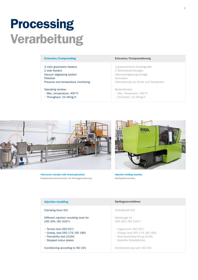### Processing Verarbeitung

3 main gravimetric feeders 2 side feeders Vacuum degassing system Pelletizer Pressure and temperature monitoring

Operating window:

- Max. temperature: 400°C
- Throughput: 10–90kg/h

#### Extrusion/Compounding Extrusion/Compoundierung

3 gravimetrische Dosiergeräte 2 Seitenbeschickungen Vakuumentgasungs-Anlage Granulator Überwachung von Druck und Temperatur

Bedienfenster:

- Max. Temperatur: 400°C
- Durchsatz: 10–90kg/h



Twin-screw extruder with strand granulator Doppelschneckenextruder mit Stranggranulierung



Injection molding machine Spritzgießmaschine

| <b>Injection moulding</b>                                                                                                               | Spritzgussverfahren                                                                                                      |
|-----------------------------------------------------------------------------------------------------------------------------------------|--------------------------------------------------------------------------------------------------------------------------|
| Clamping force 50t                                                                                                                      | Schließkraft 50t                                                                                                         |
| Different injection moulding tools for<br>(ISO 294, ISO 3167):                                                                          | Werkzeuge für<br>(ISO 294, ISO 3167):                                                                                    |
| $\cdot$ Tensile test (ISO 527)<br>$\cdot$ Charpy, Izod (ISO 179, ISO 180)<br>· Flamability test (UL94)<br>$\cdot$ Stepped colour plates | · Zugversuch (ISO 527)<br>• Charpy, Izod (ISO 179, ISO 180)<br>· Brennbarkeitsprüfung (UL94)<br>· Gestufte Farbplättchen |
| Conditioning according to ISO 291                                                                                                       | Konditionierung nach ISO 291                                                                                             |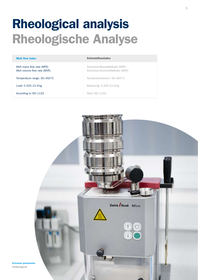### Rheological analysis Rheologische Analyse

| <b>Melt flow index</b>                                   | <b>Schmelzflussindex</b>                                         |
|----------------------------------------------------------|------------------------------------------------------------------|
| Melt mass flow rate (MFR)<br>Melt volume flow rate (MVR) | Schmelze-Massefließrate (MFR)<br>Schmelze-Volumenfließrate (MVR) |
| Temperature range: 50–450 °C                             | Temperaturbereich: 50–450 °C                                     |
| Load: 0.325-21.6 kg                                      | Belastung: 0,325-21,6 kg                                         |
| According to ISO 1133                                    | Nach ISO 1133                                                    |
|                                                          |                                                                  |



Extrusion plastometer Fließprüfgerät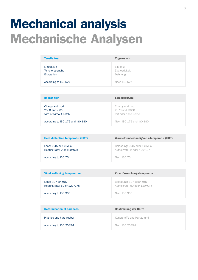### Mechanical analysis Mechanische Analysen

| <b>Tensile test</b>                         | <b>Zugversuch</b>                   |
|---------------------------------------------|-------------------------------------|
| E-modulus<br>Tensile strenght<br>Elongation | E-Modul<br>Zugfestigkeit<br>Dehnung |
| According to ISO 527                        | Nach ISO 527                        |

| <b>Impact test</b>                                           | <b>Schlagprüfung</b>                                                          |
|--------------------------------------------------------------|-------------------------------------------------------------------------------|
| Charpy and Izod<br>23 °C and -30 °C<br>with or without notch | Charpy und Izod<br>$23^{\circ}$ C und -30 $^{\circ}$ C<br>mit oder ohne Kerbe |
| According to ISO 179 and ISO 180                             | Nach ISO 179 und ISO 180                                                      |

| <b>Heat deflection temperatur (HDT)</b>                         | Wärmeformbeständigkeits-Temperatur (HDT)                     |
|-----------------------------------------------------------------|--------------------------------------------------------------|
| Load: 0.45 or 1.8 MPa<br>Heating rate: $2$ or $120^{\circ}$ C/h | Belastung: 0,45 oder 1,8 MPa<br>Aufheizrate: 2 oder 120 °C/h |
| According to ISO 75                                             | Nach ISO 75                                                  |

| <b>Vicat softening temperature</b>               | Vicat-Erweichungstemperatur                             |
|--------------------------------------------------|---------------------------------------------------------|
| Load: 10N or 50N<br>Heating rate: 50 or 120 °C/h | Belastung: 10N oder 50N<br>Aufheizrate: 50 oder 120°C/h |
| According to ISO 306                             | Nach ISO 306                                            |

| <b>Determination of hardness</b> | Bestimmung der Härte      |
|----------------------------------|---------------------------|
| Plastics and hard rubber         | Kunststoffe und Hartgummi |
| According to ISO 2039-1          | Nach ISO 2039-1           |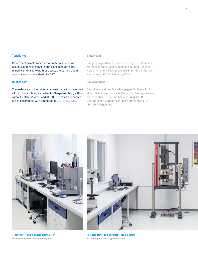#### Tensile test

Basic mechanical properties of materials, such as e-modulus, tensile strength and elongation are determined with tensile test. These tests are carried out in accordance with standard ISO 527.

#### Impact test

The resistance of the material against impact is measured with an impact test, according to Charpy and Izod, with or without notch, at 23°C and -30°C. The tests are carried out in accordance with standards ISO 179, ISO 180.

#### Zugversuch

Die grundlegenden mechanischen Eigenschaften von Materialien wie E-Modul, Zugfestigkeit und Dehnung werden in einem Zugversuch bestimmt. Die Prüfungen werden nach ISO 527 durchgeführt.

#### Schlagprüfung

Der Widerstand des Materials gegen Schläge wird in einem Schlagversuch nach Charpy und Izod gemessen, mit oder ohne Kerbe und bei 23°C und -30°C. Die Prüfungen werden nach den Normen ISO 179, ISO 180 ausgeführt.



Tensile tester and extrusion plastometer Pendelschlagwerk und Fließprüfgerät



Hardness tester and universal testing machine Härteprüfgerät und Zugprüfmaschine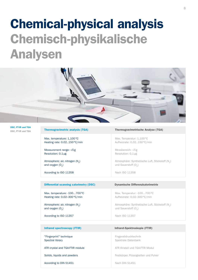## Chemical-physical analysis Chemisch-physikalische Analysen



| <b>DSC, FT-IR and TGA</b> |  |
|---------------------------|--|
| DSC, FT-IR und TGA        |  |

| <b>Thermogravimetric analysis (TGA)</b>                           | <b>Thermogravimetrische Analyse (TGA)</b>                                             |
|-------------------------------------------------------------------|---------------------------------------------------------------------------------------|
| Max. temperature: 1,100 °C<br>Heating rate: 0.02150°C/min         | Max. Temperatur: 1.100 °C<br>Aufheizrate: 0,02150°C/min                               |
| Measurement range: ≤5g<br>Resolution: 0.1 µg                      | Messbereich: $\leq$ 5g<br>Resolution: 0,1 µg                                          |
| Atmosphere: air, nitrogen (N <sub>2</sub> )<br>and oxygen $(0, )$ | Atmosphäre: Synthetische Luft, Stickstoff (N <sub>2</sub> )<br>und Sauerstoff $(O_2)$ |
| According to ISO 11358                                            | Nach ISO 11358                                                                        |
|                                                                   |                                                                                       |
| <b>Differential scanning calorimetry (DSC)</b>                    | <b>Dynamische Differenzkalorimetrie</b>                                               |
| Max. temperature: - 100700 °C<br>Heating rate: 0.02-300°C/min     | Max. Temperatur: -100700 °C<br>Aufheizrate: 0,02-300°C/min                            |
| Atmosphere: air, nitrogen (N <sub>2</sub> )<br>and oxygen $(0, )$ | Atmosphäre: Synthetische Luft, Stickstoff (N <sub>2</sub> )<br>und Sauerstoff $(O2)$  |
| According to ISO 11357                                            | Nach ISO 11357                                                                        |
|                                                                   |                                                                                       |
| <b>Infrared spectroscopy (FTIR)</b>                               | Infrarot-Spektroskopie (FTIR)                                                         |
| "Fingerprint" technique<br>Spectral library                       | Fingerabdrucktechnik<br>Spektrale Datenbank                                           |
| ATR crystal and TGA-FTIR module                                   | ATR Kristall und TGA-FTIR Modul                                                       |
| Solids, liquids and powders                                       | Festkörper, Flüssigkeiten und Pulver                                                  |
| According to DIN 51451                                            | Nach DIN 51451                                                                        |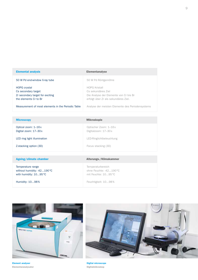| <b>Elemental analysis</b>                                                                               | <b>Elementanalyse</b>                                                                                                        |
|---------------------------------------------------------------------------------------------------------|------------------------------------------------------------------------------------------------------------------------------|
| 50 W Pd end-window X-ray tube                                                                           | 50 W Pd Röntgenröhre                                                                                                         |
| <b>HOPG crystal</b><br>Cs secondary target<br>Zr secondary target for exciting<br>the elements Cr to Br | <b>HOPG Kristall</b><br>Cs sekundäres Ziel<br>Die Analyse der Elemente von Cr bis Br<br>erfolgt über Zr als sekundäres Ziel. |
| Measurement of most elements in the Periodic Table                                                      | Analyse der meisten Elemente des Periodensystems                                                                             |

| <b>Microscopy</b>                            | <b>Mikroskopie</b>                            |
|----------------------------------------------|-----------------------------------------------|
| Optical zoom: 1-16x<br>Digital zoom: 17-30 x | Optischer Zoom: 1-16 x<br>Digitalzoom: 17-30x |
| LED ring light illumination                  | LED-Ringlichtbeleuchtung                      |
| Z-stacking option (3D)                       | Focus stacking (3D)                           |
|                                              |                                               |
| Ageing/climate chamber                       | Alterungs-/Klimakammer                        |

| Temperature range           | Temperaturbereich       |
|-----------------------------|-------------------------|
| without humidity: -42190 °C | ohne Feuchte: -42190 °C |
| with humidity: 1095 °C      | mit Feuchte: 1095 °C    |
| Humidity: 1098%             | Feuchtigkeit: 1098%     |





Element analyser Elementaranalysator

Digital microscope Digitalmikroskop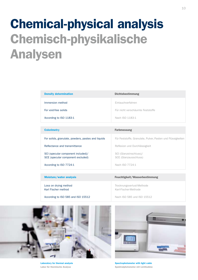## Chemical-physical analysis Chemisch-physikalische Analysen

| <b>Density determination</b>                                            | <b>Dichtebestimmung</b>                                     |
|-------------------------------------------------------------------------|-------------------------------------------------------------|
| Immersion method                                                        | Eintauchverfahren                                           |
| For void-free solids                                                    | Für nicht verschäumte Feststoffe                            |
| According to ISO 1183-1                                                 | Nach ISO 1183-1                                             |
|                                                                         |                                                             |
| <b>Colorimetry</b>                                                      | <b>Farbmessung</b>                                          |
| For solids, granulate, powders, pastes and liquids                      | Für Feststoffe, Granulate, Pulver, Pasten und Flüssigkeiten |
| Reflectance and transmittance                                           | Reflexion und Durchlässigkeit                               |
| SCI (specular component included)/<br>SCE (specular component excluded) | SCI (Glanzeinschluss)/<br>SCE (Glanzausschluss)             |
| According to ISO 7724-1                                                 | Nach ISO 7724-1                                             |
|                                                                         |                                                             |
| Moisture/water analysis                                                 | Feuchtigkeit/Wasserbestimmung                               |
| Loss on drying method<br>Karl Fischer method                            | Trocknungsverlust-Methode<br>Karl-Fischer-Methode           |
| According to ISO 585 and ISO 15512                                      | Nach ISO 585 und ISO 15512                                  |



Laboratory for thermal analysis Labor für thermische Analyse



Spectrophotometer with light cabin Spektralphotometer mit Lichtkabine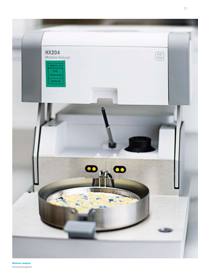

Moisture analyzer Feuchtemessgerät